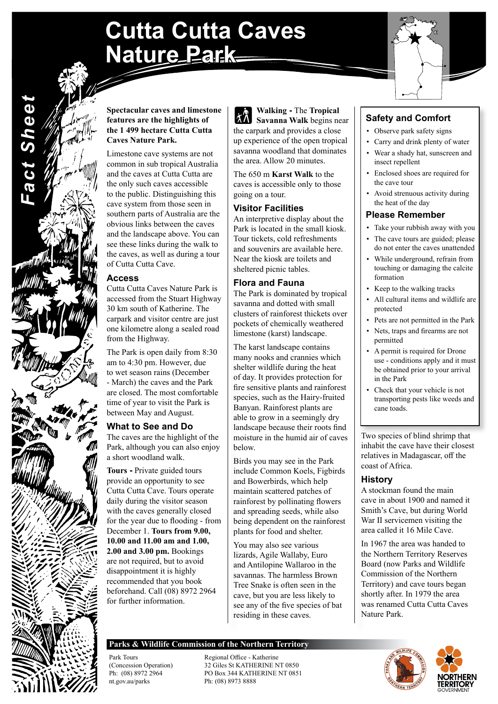# **Cutta Cutta Caves Nature Park**



### **Spectacular caves and limestone features are the highlights of the 1 499 hectare Cutta Cutta Caves Nature Park.**

Limestone cave systems are not common in sub tropical Australia and the caves at Cutta Cutta are the only such caves accessible to the public. Distinguishing this cave system from those seen in southern parts of Australia are the obvious links between the caves and the landscape above. You can see these links during the walk to the caves, as well as during a tour of Cutta Cutta Cave.

# **Access**

*Fact Sheet*

**Fact Sheet** 

Cutta Cutta Caves Nature Park is accessed from the Stuart Highway 30 km south of Katherine. The carpark and visitor centre are just one kilometre along a sealed road from the Highway.

The Park is open daily from 8:30 am to 4:30 pm. However, due to wet season rains (December - March) the caves and the Park are closed. The most comfortable time of year to visit the Park is between May and August.

# **What to See and Do**

The caves are the highlight of the Park, although you can also enjoy a short woodland walk.

**Tours -** Private guided tours provide an opportunity to see Cutta Cutta Cave. Tours operate daily during the visitor season with the caves generally closed for the year due to flooding - from December 1. **Tours from 9.00, 10.00 and 11.00 am and 1.00, 2.00 and 3.00 pm.** Bookings are not required, but to avoid disappointment it is highly recommended that you book beforehand. Call (08) 8972 2964 for further information.

**Walking -** The **Tropical Savanna Walk** begins near the carpark and provides a close up experience of the open tropical savanna woodland that dominates the area. Allow 20 minutes.

The 650 m **Karst Walk** to the caves is accessible only to those going on a tour.

# **Visitor Facilities**

An interpretive display about the Park is located in the small kiosk. Tour tickets, cold refreshments and souvenirs are available here. Near the kiosk are toilets and sheltered picnic tables.

# **Flora and Fauna**

The Park is dominated by tropical savanna and dotted with small clusters of rainforest thickets over pockets of chemically weathered limestone (karst) landscape.

The karst landscape contains many nooks and crannies which shelter wildlife during the heat of day. It provides protection for fire sensitive plants and rainforest species, such as the Hairy-fruited Banyan. Rainforest plants are able to grow in a seemingly dry landscape because their roots find moisture in the humid air of caves below.

Birds you may see in the Park include Common Koels, Figbirds and Bowerbirds, which help maintain scattered patches of rainforest by pollinating flowers and spreading seeds, while also being dependent on the rainforest plants for food and shelter.

You may also see various lizards, Agile Wallaby, Euro and Antilopine Wallaroo in the savannas. The harmless Brown Tree Snake is often seen in the cave, but you are less likely to see any of the five species of bat residing in these caves.

# **Safety and Comfort**

- Observe park safety signs
- Carry and drink plenty of water • Wear a shady hat, sunscreen and insect repellent
- Enclosed shoes are required for the cave tour
- Avoid strenuous activity during the heat of the day

# **Please Remember**

- Take your rubbish away with you
- The cave tours are guided; please do not enter the caves unattended
- While underground, refrain from touching or damaging the calcite formation
- Keep to the walking tracks
- All cultural items and wildlife are protected
- Pets are not permitted in the Park
- Nets, traps and firearms are not permitted
- A permit is required for Drone use - conditions apply and it must be obtained prior to your arrival in the Park
- Check that your vehicle is not transporting pests like weeds and cane toads.

Two species of blind shrimp that inhabit the cave have their closest relatives in Madagascar, off the coast of Africa.

# **History**

A stockman found the main cave in about 1900 and named it Smith's Cave, but during World War II servicemen visiting the area called it 16 Mile Cave.

In 1967 the area was handed to the Northern Territory Reserves Board (now Parks and Wildlife Commission of the Northern Territory) and cave tours began shortly after. In 1979 the area was renamed Cutta Cutta Caves Nature Park.

# **Parks & Wildlife Commission of the Northern Territory**

nt.gov.au/parks Ph: (08) 8973 8888

Park Tours Regional Office - Katherine<br>
Concession Operation<br>
22 Giles St KATHERINE N (Concession Operation)<br>
32 Giles St KATHERINE NT 0850<br>
PO Box 344 KATHERINE NT 085 PO Box 344 KATHERINE NT 0851